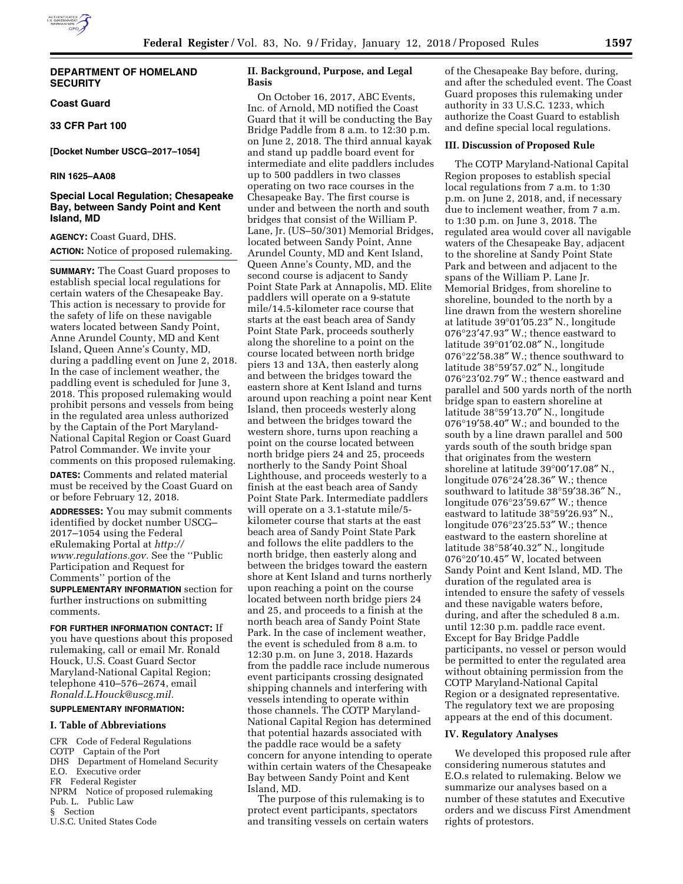# **DEPARTMENT OF HOMELAND SECURITY**

# **Coast Guard**

# **33 CFR Part 100**

**[Docket Number USCG–2017–1054]** 

## **RIN 1625–AA08**

# **Special Local Regulation; Chesapeake Bay, between Sandy Point and Kent Island, MD**

**AGENCY:** Coast Guard, DHS. **ACTION:** Notice of proposed rulemaking.

**SUMMARY:** The Coast Guard proposes to establish special local regulations for certain waters of the Chesapeake Bay. This action is necessary to provide for the safety of life on these navigable waters located between Sandy Point, Anne Arundel County, MD and Kent Island, Queen Anne's County, MD, during a paddling event on June 2, 2018. In the case of inclement weather, the paddling event is scheduled for June 3, 2018. This proposed rulemaking would prohibit persons and vessels from being in the regulated area unless authorized by the Captain of the Port Maryland-National Capital Region or Coast Guard Patrol Commander. We invite your comments on this proposed rulemaking. **DATES:** Comments and related material

must be received by the Coast Guard on or before February 12, 2018.

**ADDRESSES:** You may submit comments identified by docket number USCG– 2017–1054 using the Federal eRulemaking Portal at *[http://](http://www.regulations.gov) [www.regulations.gov.](http://www.regulations.gov)* See the ''Public Participation and Request for Comments'' portion of the **SUPPLEMENTARY INFORMATION** section for further instructions on submitting comments.

**FOR FURTHER INFORMATION CONTACT:** If you have questions about this proposed rulemaking, call or email Mr. Ronald Houck, U.S. Coast Guard Sector Maryland-National Capital Region; telephone 410–576–2674, email *[Ronald.L.Houck@uscg.mil.](mailto:Ronald.L.Houck@uscg.mil)* 

# **SUPPLEMENTARY INFORMATION:**

# **I. Table of Abbreviations**

CFR Code of Federal Regulations COTP Captain of the Port DHS Department of Homeland Security<br>E.O. Executive order Executive order FR Federal Register NPRM Notice of proposed rulemaking Pub. L. Public Law § Section U.S.C. United States Code

# **II. Background, Purpose, and Legal Basis**

On October 16, 2017, ABC Events, Inc. of Arnold, MD notified the Coast Guard that it will be conducting the Bay Bridge Paddle from 8 a.m. to 12:30 p.m. on June 2, 2018. The third annual kayak and stand up paddle board event for intermediate and elite paddlers includes up to 500 paddlers in two classes operating on two race courses in the Chesapeake Bay. The first course is under and between the north and south bridges that consist of the William P. Lane, Jr. (US–50/301) Memorial Bridges, located between Sandy Point, Anne Arundel County, MD and Kent Island, Queen Anne's County, MD, and the second course is adjacent to Sandy Point State Park at Annapolis, MD. Elite paddlers will operate on a 9-statute mile/14.5-kilometer race course that starts at the east beach area of Sandy Point State Park, proceeds southerly along the shoreline to a point on the course located between north bridge piers 13 and 13A, then easterly along and between the bridges toward the eastern shore at Kent Island and turns around upon reaching a point near Kent Island, then proceeds westerly along and between the bridges toward the western shore, turns upon reaching a point on the course located between north bridge piers 24 and 25, proceeds northerly to the Sandy Point Shoal Lighthouse, and proceeds westerly to a finish at the east beach area of Sandy Point State Park. Intermediate paddlers will operate on a 3.1-statute mile/5 kilometer course that starts at the east beach area of Sandy Point State Park and follows the elite paddlers to the north bridge, then easterly along and between the bridges toward the eastern shore at Kent Island and turns northerly upon reaching a point on the course located between north bridge piers 24 and 25, and proceeds to a finish at the north beach area of Sandy Point State Park. In the case of inclement weather, the event is scheduled from 8 a.m. to 12:30 p.m. on June 3, 2018. Hazards from the paddle race include numerous event participants crossing designated shipping channels and interfering with vessels intending to operate within those channels. The COTP Maryland-National Capital Region has determined that potential hazards associated with the paddle race would be a safety concern for anyone intending to operate within certain waters of the Chesapeake Bay between Sandy Point and Kent Island, MD.

The purpose of this rulemaking is to protect event participants, spectators and transiting vessels on certain waters

of the Chesapeake Bay before, during, and after the scheduled event. The Coast Guard proposes this rulemaking under authority in 33 U.S.C. 1233, which authorize the Coast Guard to establish and define special local regulations.

# **III. Discussion of Proposed Rule**

The COTP Maryland-National Capital Region proposes to establish special local regulations from 7 a.m. to 1:30 p.m. on June 2, 2018, and, if necessary due to inclement weather, from 7 a.m. to 1:30 p.m. on June 3, 2018. The regulated area would cover all navigable waters of the Chesapeake Bay, adjacent to the shoreline at Sandy Point State Park and between and adjacent to the spans of the William P. Lane Jr. Memorial Bridges, from shoreline to shoreline, bounded to the north by a line drawn from the western shoreline at latitude 39°01′05.23″ N., longitude 076°23′47.93″ W.; thence eastward to latitude 39°01′02.08″ N., longitude 076°22′58.38″ W.; thence southward to latitude 38°59′57.02″ N., longitude 076°23′02.79″ W.; thence eastward and parallel and 500 yards north of the north bridge span to eastern shoreline at latitude 38°59′13.70″ N., longitude 076°19′58.40″ W.; and bounded to the south by a line drawn parallel and 500 yards south of the south bridge span that originates from the western shoreline at latitude 39°00′17.08″ N., longitude 076°24′28.36″ W.; thence southward to latitude 38°59′38.36″ N., longitude 076°23′59.67″ W.; thence eastward to latitude 38°59′26.93″ N., longitude 076°23′25.53″ W.; thence eastward to the eastern shoreline at latitude 38°58′40.32″ N., longitude 076°20′10.45″ W, located between Sandy Point and Kent Island, MD. The duration of the regulated area is intended to ensure the safety of vessels and these navigable waters before, during, and after the scheduled 8 a.m. until 12:30 p.m. paddle race event. Except for Bay Bridge Paddle participants, no vessel or person would be permitted to enter the regulated area without obtaining permission from the COTP Maryland-National Capital Region or a designated representative. The regulatory text we are proposing appears at the end of this document.

# **IV. Regulatory Analyses**

We developed this proposed rule after considering numerous statutes and E.O.s related to rulemaking. Below we summarize our analyses based on a number of these statutes and Executive orders and we discuss First Amendment rights of protestors.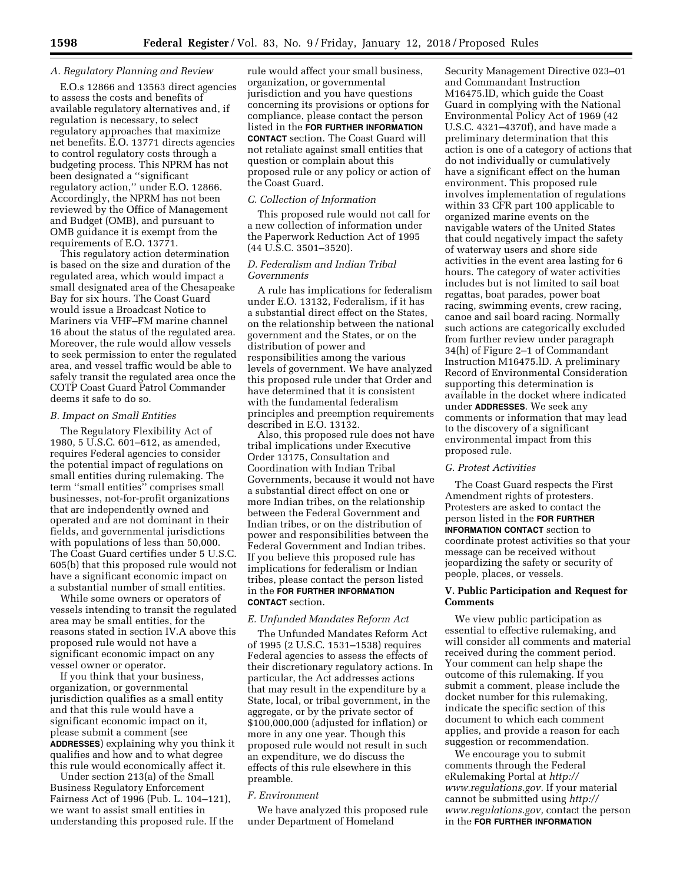## *A. Regulatory Planning and Review*

E.O.s 12866 and 13563 direct agencies to assess the costs and benefits of available regulatory alternatives and, if regulation is necessary, to select regulatory approaches that maximize net benefits. E.O. 13771 directs agencies to control regulatory costs through a budgeting process. This NPRM has not been designated a ''significant regulatory action,'' under E.O. 12866. Accordingly, the NPRM has not been reviewed by the Office of Management and Budget (OMB), and pursuant to OMB guidance it is exempt from the requirements of E.O. 13771.

This regulatory action determination is based on the size and duration of the regulated area, which would impact a small designated area of the Chesapeake Bay for six hours. The Coast Guard would issue a Broadcast Notice to Mariners via VHF–FM marine channel 16 about the status of the regulated area. Moreover, the rule would allow vessels to seek permission to enter the regulated area, and vessel traffic would be able to safely transit the regulated area once the COTP Coast Guard Patrol Commander deems it safe to do so.

## *B. Impact on Small Entities*

The Regulatory Flexibility Act of 1980, 5 U.S.C. 601–612, as amended, requires Federal agencies to consider the potential impact of regulations on small entities during rulemaking. The term ''small entities'' comprises small businesses, not-for-profit organizations that are independently owned and operated and are not dominant in their fields, and governmental jurisdictions with populations of less than 50,000. The Coast Guard certifies under 5 U.S.C. 605(b) that this proposed rule would not have a significant economic impact on a substantial number of small entities.

While some owners or operators of vessels intending to transit the regulated area may be small entities, for the reasons stated in section IV.A above this proposed rule would not have a significant economic impact on any vessel owner or operator.

If you think that your business, organization, or governmental jurisdiction qualifies as a small entity and that this rule would have a significant economic impact on it, please submit a comment (see **ADDRESSES**) explaining why you think it qualifies and how and to what degree this rule would economically affect it.

Under section 213(a) of the Small Business Regulatory Enforcement Fairness Act of 1996 (Pub. L. 104–121), we want to assist small entities in understanding this proposed rule. If the rule would affect your small business, organization, or governmental jurisdiction and you have questions concerning its provisions or options for compliance, please contact the person listed in the **FOR FURTHER INFORMATION CONTACT** section. The Coast Guard will not retaliate against small entities that question or complain about this proposed rule or any policy or action of the Coast Guard.

# *C. Collection of Information*

This proposed rule would not call for a new collection of information under the Paperwork Reduction Act of 1995 (44 U.S.C. 3501–3520).

# *D. Federalism and Indian Tribal Governments*

A rule has implications for federalism under E.O. 13132, Federalism, if it has a substantial direct effect on the States, on the relationship between the national government and the States, or on the distribution of power and responsibilities among the various levels of government. We have analyzed this proposed rule under that Order and have determined that it is consistent with the fundamental federalism principles and preemption requirements described in E.O. 13132.

Also, this proposed rule does not have tribal implications under Executive Order 13175, Consultation and Coordination with Indian Tribal Governments, because it would not have a substantial direct effect on one or more Indian tribes, on the relationship between the Federal Government and Indian tribes, or on the distribution of power and responsibilities between the Federal Government and Indian tribes. If you believe this proposed rule has implications for federalism or Indian tribes, please contact the person listed in the **FOR FURTHER INFORMATION CONTACT** section.

# *E. Unfunded Mandates Reform Act*

The Unfunded Mandates Reform Act of 1995 (2 U.S.C. 1531–1538) requires Federal agencies to assess the effects of their discretionary regulatory actions. In particular, the Act addresses actions that may result in the expenditure by a State, local, or tribal government, in the aggregate, or by the private sector of \$100,000,000 (adjusted for inflation) or more in any one year. Though this proposed rule would not result in such an expenditure, we do discuss the effects of this rule elsewhere in this preamble.

## *F. Environment*

We have analyzed this proposed rule under Department of Homeland

Security Management Directive 023–01 and Commandant Instruction M16475.lD, which guide the Coast Guard in complying with the National Environmental Policy Act of 1969 (42 U.S.C. 4321–4370f), and have made a preliminary determination that this action is one of a category of actions that do not individually or cumulatively have a significant effect on the human environment. This proposed rule involves implementation of regulations within 33 CFR part 100 applicable to organized marine events on the navigable waters of the United States that could negatively impact the safety of waterway users and shore side activities in the event area lasting for 6 hours. The category of water activities includes but is not limited to sail boat regattas, boat parades, power boat racing, swimming events, crew racing, canoe and sail board racing. Normally such actions are categorically excluded from further review under paragraph 34(h) of Figure 2–1 of Commandant Instruction M16475.lD. A preliminary Record of Environmental Consideration supporting this determination is available in the docket where indicated under **ADDRESSES**. We seek any comments or information that may lead to the discovery of a significant environmental impact from this proposed rule.

## *G. Protest Activities*

The Coast Guard respects the First Amendment rights of protesters. Protesters are asked to contact the person listed in the **FOR FURTHER INFORMATION CONTACT** section to coordinate protest activities so that your message can be received without jeopardizing the safety or security of people, places, or vessels.

## **V. Public Participation and Request for Comments**

We view public participation as essential to effective rulemaking, and will consider all comments and material received during the comment period. Your comment can help shape the outcome of this rulemaking. If you submit a comment, please include the docket number for this rulemaking, indicate the specific section of this document to which each comment applies, and provide a reason for each suggestion or recommendation.

We encourage you to submit comments through the Federal eRulemaking Portal at *[http://](http://www.regulations.gov) [www.regulations.gov.](http://www.regulations.gov)* If your material cannot be submitted using *[http://](http://www.regulations.gov) [www.regulations.gov,](http://www.regulations.gov)* contact the person in the **FOR FURTHER INFORMATION**